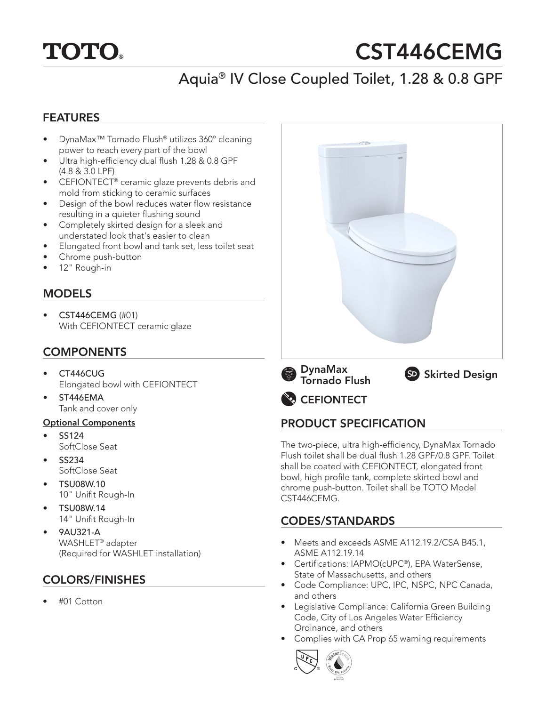

# CST446CEMG

# Aquia® IV Close Coupled Toilet, 1.28 & 0.8 GPF

#### FEATURES

- DynaMax™ Tornado Flush® utilizes 360º cleaning power to reach every part of the bowl
- Ultra high-efficiency dual flush 1.28 & 0.8 GPF (4.8 & 3.0 LPF)
- CEFIONTECT® ceramic glaze prevents debris and mold from sticking to ceramic surfaces
- Design of the bowl reduces water flow resistance resulting in a quieter flushing sound
- Completely skirted design for a sleek and understated look that's easier to clean
- Elongated front bowl and tank set, less toilet seat
- Chrome push-button
- 12" Rough-in

## MODELS

• CST446CEMG (#01) With CEFIONTECT ceramic glaze

## **COMPONENTS**

- CT446CUG Elongated bowl with CEFIONTECT
- ST446EMA Tank and cover only

#### Optional Components

- SS124 SoftClose Seat
- SS234 SoftClose Seat
- TSU08W.10 10" Unifit Rough-In
- TSU08W.14 14" Unifit Rough-In
- 9AU321-A WASHLET® adapter (Required for WASHLET installation)

## COLORS/FINISHES

• #01 Cotton









## PRODUCT SPECIFICATION

The two-piece, ultra high-efficiency, DynaMax Tornado Flush toilet shall be dual flush 1.28 GPF/0.8 GPF. Toilet shall be coated with CEFIONTECT, elongated front bowl, high profile tank, complete skirted bowl and chrome push-button. Toilet shall be TOTO Model CST446CEMG.

## CODES/STANDARDS

- Meets and exceeds ASME A112.19.2/CSA B45.1, ASME A112.19.14
- Certifications: IAPMO(cUPC®), EPA WaterSense, State of Massachusetts, and others
- Code Compliance: UPC, IPC, NSPC, NPC Canada, and others
- Legislative Compliance: California Green Building Code, City of Los Angeles Water Efficiency Ordinance, and others
- Complies with CA Prop 65 warning requirements